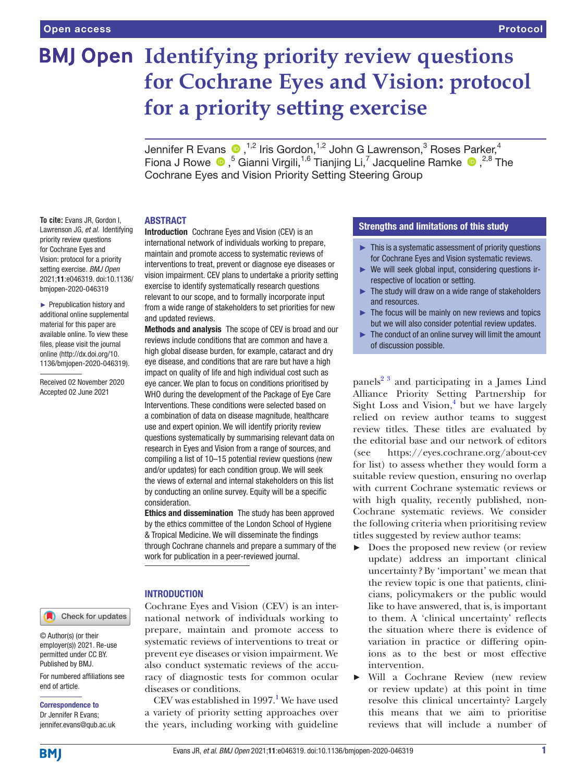# **BMJ Open Identifying priority review questions for Cochrane Eyes and Vision: protocol for a priority setting exercise**

JenniferR Evans  $\bullet$  ,<sup>1,2</sup> Iris Gordon,<sup>1,2</sup> John G Lawrenson,<sup>3</sup> Roses Parker,<sup>4</sup> Fiona J Rowe  $\bullet$ ,<sup>5</sup> Gianni Virgili,<sup>1,6</sup> Tianjing Li,<sup>7</sup> Jacqueline Ramke  $\bullet$ ,<sup>2,8</sup> The Cochrane Eyes and Vision Priority Setting Steering Group

# ABSTRACT

**To cite:** Evans JR, Gordon I, Lawrenson JG, *et al*. Identifying priority review questions for Cochrane Eyes and Vision: protocol for a priority setting exercise. *BMJ Open* 2021;11:e046319. doi:10.1136/ bmjopen-2020-046319

► Prepublication history and additional online supplemental material for this paper are available online. To view these files, please visit the journal online (http://dx.doi.org/10. 1136/bmjopen-2020-046319).

Received 02 November 2020 Accepted 02 June 2021

Check for updates

© Author(s) (or their employer(s)) 2021. Re-use permitted under CC BY. Published by BMJ.

For numbered affiliations see end of article.

Correspondence to Dr Jennifer R Evans; jennifer.evans@qub.ac.uk Introduction Cochrane Eyes and Vision (CEV) is an international network of individuals working to prepare, maintain and promote access to systematic reviews of interventions to treat, prevent or diagnose eye diseases or vision impairment. CEV plans to undertake a priority setting exercise to identify systematically research questions relevant to our scope, and to formally incorporate input from a wide range of stakeholders to set priorities for new and updated reviews.

Methods and analysis The scope of CEV is broad and our reviews include conditions that are common and have a high global disease burden, for example, cataract and dry eve disease, and conditions that are rare but have a high impact on quality of life and high individual cost such as eye cancer. We plan to focus on conditions prioritised by WHO during the development of the Package of Eye Care Interventions. These conditions were selected based on a combination of data on disease magnitude, healthcare use and expert opinion. We will identify priority review questions systematically by summarising relevant data on research in Eyes and Vision from a range of sources, and compiling a list of 10–15 potential review questions (new and/or updates) for each condition group. We will seek the views of external and internal stakeholders on this list by conducting an online survey. Equity will be a specific consideration.

Ethics and dissemination The study has been approved by the ethics committee of the London School of Hygiene & Tropical Medicine. We will disseminate the findings through Cochrane channels and prepare a summary of the work for publication in a peer-reviewed journal.

# INTRODUCTION

Cochrane Eyes and Vision (CEV) is an international network of individuals working to prepare, maintain and promote access to systematic reviews of interventions to treat or prevent eye diseases or vision impairment. We also conduct systematic reviews of the accuracy of diagnostic tests for common ocular diseases or conditions.

CEV was established in  $1997<sup>1</sup>$  $1997<sup>1</sup>$  We have used a variety of priority setting approaches over the years, including working with guideline

# Strengths and limitations of this study

- $\blacktriangleright$  This is a systematic assessment of priority questions for Cochrane Eyes and Vision systematic reviews.
- ► We will seek global input, considering questions irrespective of location or setting.
- $\blacktriangleright$  The study will draw on a wide range of stakeholders and resources.
- $\blacktriangleright$  The focus will be mainly on new reviews and topics but we will also consider potential review updates.
- ► The conduct of an online survey will limit the amount of discussion possible.

panels<sup>2 3</sup> and participating in a James Lind Alliance Priority Setting Partnership for Sight Loss and Vision, $4$  but we have largely relied on review author teams to suggest review titles. These titles are evaluated by the editorial base and our network of editors (see <https://eyes.cochrane.org/about-cev> for list) to assess whether they would form a suitable review question, ensuring no overlap with current Cochrane systematic reviews or with high quality, recently published, non-Cochrane systematic reviews. We consider the following criteria when prioritising review titles suggested by review author teams:

- ► Does the proposed new review (or review update) address an important clinical uncertainty*?* By 'important' we mean that the review topic is one that patients, clinicians, policymakers or the public would like to have answered, that is, is important to them. A 'clinical uncertainty' reflects the situation where there is evidence of variation in practice or differing opinions as to the best or most effective intervention.
- Will a Cochrane Review (new review or review update) at this point in time resolve this clinical uncertainty? Largely this means that we aim to prioritise reviews that will include a number of

**BMI**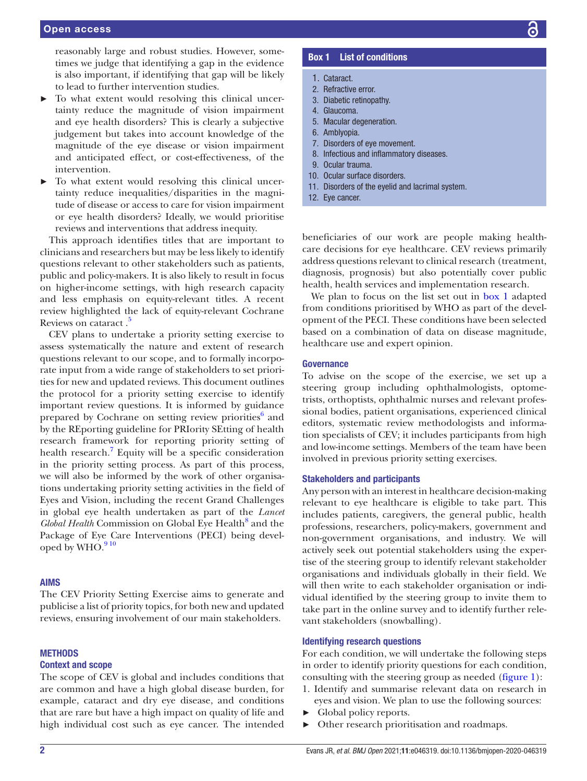reasonably large and robust studies. However, sometimes we judge that identifying a gap in the evidence is also important, if identifying that gap will be likely to lead to further intervention studies.

- To what extent would resolving this clinical uncertainty reduce the magnitude of vision impairment and eye health disorders? This is clearly a subjective judgement but takes into account knowledge of the magnitude of the eye disease or vision impairment and anticipated effect, or cost-effectiveness, of the intervention.
- To what extent would resolving this clinical uncertainty reduce inequalities/disparities in the magnitude of disease or access to care for vision impairment or eye health disorders? Ideally, we would prioritise reviews and interventions that address inequity.

This approach identifies titles that are important to clinicians and researchers but may be less likely to identify questions relevant to other stakeholders such as patients, public and policy-makers. It is also likely to result in focus on higher-income settings, with high research capacity and less emphasis on equity-relevant titles. A recent review highlighted the lack of equity-relevant Cochrane Reviews on cataract.<sup>5</sup>

CEV plans to undertake a priority setting exercise to assess systematically the nature and extent of research questions relevant to our scope, and to formally incorporate input from a wide range of stakeholders to set priorities for new and updated reviews. This document outlines the protocol for a priority setting exercise to identify important review questions. It is informed by guidance prepared by Cochrane on setting review priorities<sup>[6](#page-5-4)</sup> and by the REporting guideline for PRIority SEtting of health research framework for reporting priority setting of health research.<sup>[7](#page-5-5)</sup> Equity will be a specific consideration in the priority setting process. As part of this process, we will also be informed by the work of other organisations undertaking priority setting activities in the field of Eyes and Vision, including the recent Grand Challenges in global eye health undertaken as part of the *Lancet*  Global Health Commission on Global Eye Health<sup>[8](#page-5-6)</sup> and the Package of Eye Care Interventions (PECI) being devel-oped by WHO.<sup>[9 10](#page-5-7)</sup>

# AIMS

The CEV Priority Setting Exercise aims to generate and publicise a list of priority topics, for both new and updated reviews, ensuring involvement of our main stakeholders.

# **METHODS**

#### Context and scope

The scope of CEV is global and includes conditions that are common and have a high global disease burden, for example, cataract and dry eye disease, and conditions that are rare but have a high impact on quality of life and high individual cost such as eye cancer. The intended

# Box 1 List of conditions

- <span id="page-1-0"></span>1. Cataract.
- 2. Refractive error.
- 3. Diabetic retinopathy.
- 4. Glaucoma.
- 5. Macular degeneration.
- 6. Amblyopia.
- 7. Disorders of eye movement.
- 8. Infectious and inflammatory diseases.
- 9. Ocular trauma.
- 10. Ocular surface disorders.
- 11. Disorders of the eyelid and lacrimal system.
- 12. Eye cancer.

beneficiaries of our work are people making healthcare decisions for eye healthcare. CEV reviews primarily address questions relevant to clinical research (treatment, diagnosis, prognosis) but also potentially cover public health, health services and implementation research.

We plan to focus on the list set out in [box](#page-1-0) 1 adapted from conditions prioritised by WHO as part of the development of the PECI. These conditions have been selected based on a combination of data on disease magnitude, healthcare use and expert opinion.

#### **Governance**

To advise on the scope of the exercise, we set up a steering group including ophthalmologists, optometrists, orthoptists, ophthalmic nurses and relevant professional bodies, patient organisations, experienced clinical editors, systematic review methodologists and information specialists of CEV; it includes participants from high and low-income settings. Members of the team have been involved in previous priority setting exercises.

### Stakeholders and participants

Any person with an interest in healthcare decision-making relevant to eye healthcare is eligible to take part. This includes patients, caregivers, the general public, health professions, researchers, policy-makers, government and non-government organisations, and industry. We will actively seek out potential stakeholders using the expertise of the steering group to identify relevant stakeholder organisations and individuals globally in their field. We will then write to each stakeholder organisation or individual identified by the steering group to invite them to take part in the online survey and to identify further relevant stakeholders (snowballing).

# Identifying research questions

For each condition, we will undertake the following steps in order to identify priority questions for each condition, consulting with the steering group as needed ([figure](#page-2-0) 1):

- 1. Identify and summarise relevant data on research in eyes and vision. We plan to use the following sources:
- ► Global policy reports.
- ► Other research prioritisation and roadmaps.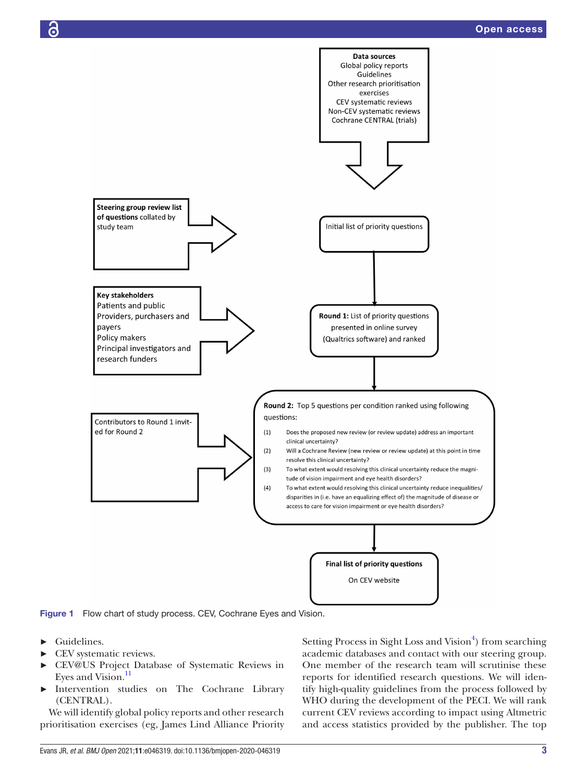

<span id="page-2-0"></span>Figure 1 Flow chart of study process. CEV, Cochrane Eyes and Vision.

- ► Guidelines.
- ► CEV systematic reviews.
- ► CEV@US Project Database of Systematic Reviews in Eyes and Vision.<sup>[11](#page-5-8)</sup>
- Intervention studies on The Cochrane Library (CENTRAL).

We will identify global policy reports and other research prioritisation exercises (eg, James Lind Alliance Priority Setting Process in Sight Loss and Vision<sup>[4](#page-5-2)</sup>) from searching academic databases and contact with our steering group. One member of the research team will scrutinise these reports for identified research questions. We will identify high-quality guidelines from the process followed by WHO during the development of the PECI. We will rank current CEV reviews according to impact using Altmetric and access statistics provided by the publisher. The top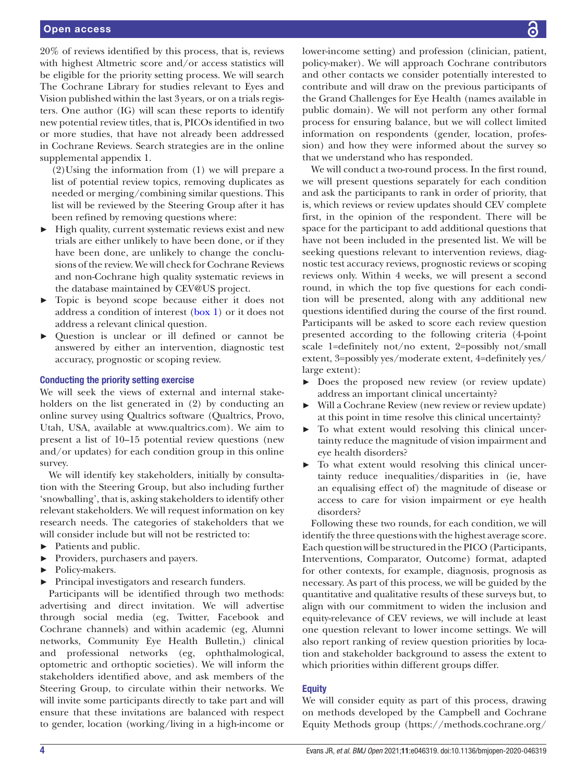20% of reviews identified by this process, that is, reviews with highest Altmetric score and/or access statistics will be eligible for the priority setting process. We will search The Cochrane Library for studies relevant to Eyes and Vision published within the last 3years, or on a trials registers. One author (IG) will scan these reports to identify new potential review titles, that is, PICOs identified in two or more studies, that have not already been addressed in Cochrane Reviews. Search strategies are in the [online](https://dx.doi.org/10.1136/bmjopen-2020-046319) [supplemental appendix 1](https://dx.doi.org/10.1136/bmjopen-2020-046319).

(2)Using the information from (1) we will prepare a list of potential review topics, removing duplicates as needed or merging/combining similar questions. This list will be reviewed by the Steering Group after it has been refined by removing questions where:

- ► High quality, current systematic reviews exist and new trials are either unlikely to have been done, or if they have been done, are unlikely to change the conclusions of the review. We will check for Cochrane Reviews and non-Cochrane high quality systematic reviews in the database maintained by CEV@US project.
- ► Topic is beyond scope because either it does not address a condition of interest ([box](#page-1-0) 1) or it does not address a relevant clinical question.
- ► Question is unclear or ill defined or cannot be answered by either an intervention, diagnostic test accuracy, prognostic or scoping review.

# Conducting the priority setting exercise

We will seek the views of external and internal stakeholders on the list generated in (2) by conducting an online survey using Qualtrics software (Qualtrics, Provo, Utah, USA, available at [www.qualtrics.com\)](www.qualtrics.com). We aim to present a list of 10–15 potential review questions (new and/or updates) for each condition group in this online survey.

We will identify key stakeholders, initially by consultation with the Steering Group, but also including further 'snowballing', that is, asking stakeholders to identify other relevant stakeholders. We will request information on key research needs. The categories of stakeholders that we will consider include but will not be restricted to:

- ► Patients and public.
- ► Providers, purchasers and payers.
- ► Policy-makers.
- ► Principal investigators and research funders.

Participants will be identified through two methods: advertising and direct invitation. We will advertise through social media (eg, Twitter, Facebook and Cochrane channels) and within academic (eg, Alumni networks, Community Eye Health Bulletin,) clinical and professional networks (eg, ophthalmological, optometric and orthoptic societies). We will inform the stakeholders identified above, and ask members of the Steering Group, to circulate within their networks. We will invite some participants directly to take part and will ensure that these invitations are balanced with respect to gender, location (working/living in a high-income or

lower-income setting) and profession (clinician, patient, policy-maker). We will approach Cochrane contributors and other contacts we consider potentially interested to contribute and will draw on the previous participants of the Grand Challenges for Eye Health (names available in public domain). We will not perform any other formal process for ensuring balance, but we will collect limited information on respondents (gender, location, profession) and how they were informed about the survey so that we understand who has responded.

We will conduct a two-round process. In the first round, we will present questions separately for each condition and ask the participants to rank in order of priority, that is, which reviews or review updates should CEV complete first, in the opinion of the respondent. There will be space for the participant to add additional questions that have not been included in the presented list. We will be seeking questions relevant to intervention reviews, diagnostic test accuracy reviews, prognostic reviews or scoping reviews only. Within 4 weeks, we will present a second round, in which the top five questions for each condition will be presented, along with any additional new questions identified during the course of the first round. Participants will be asked to score each review question presented according to the following criteria (4-point scale 1=definitely not/no extent, 2=possibly not/small extent, 3=possibly yes/moderate extent, 4=definitely yes/ large extent):

- ► Does the proposed new review (or review update) address an important clinical uncertainty?
- Will a Cochrane Review (new review or review update) at this point in time resolve this clinical uncertainty?
- To what extent would resolving this clinical uncertainty reduce the magnitude of vision impairment and eye health disorders?
- ► To what extent would resolving this clinical uncertainty reduce inequalities/disparities in (ie, have an equalising effect of) the magnitude of disease or access to care for vision impairment or eye health disorders?

Following these two rounds, for each condition, we will identify the three questions with the highest average score. Each question will be structured in the PICO (Participants, Interventions, Comparator, Outcome) format, adapted for other contexts, for example, diagnosis, prognosis as necessary. As part of this process, we will be guided by the quantitative and qualitative results of these surveys but, to align with our commitment to widen the inclusion and equity-relevance of CEV reviews, we will include at least one question relevant to lower income settings. We will also report ranking of review question priorities by location and stakeholder background to assess the extent to which priorities within different groups differ.

# **Equity**

We will consider equity as part of this process, drawing on methods developed by the Campbell and Cochrane Equity Methods group ([https://methods.cochrane.org/](https://methods.cochrane.org/equity/about-us)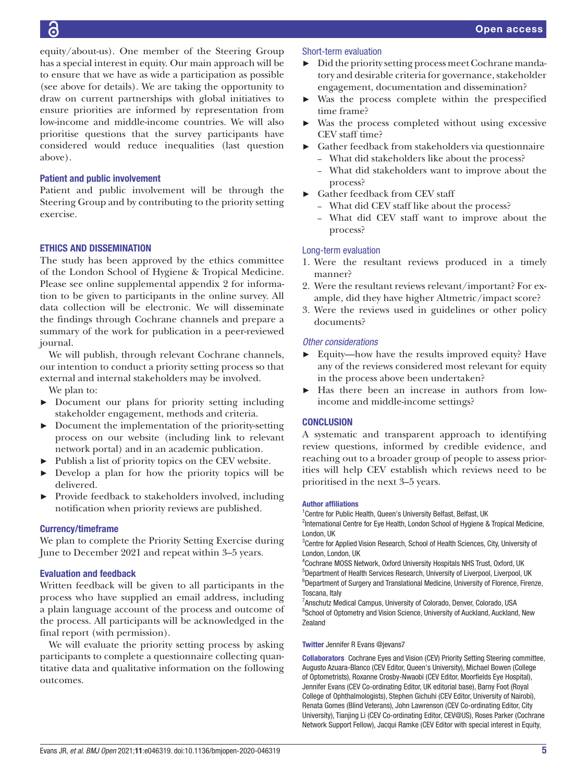[equity/about-us\)](https://methods.cochrane.org/equity/about-us). One member of the Steering Group has a special interest in equity. Our main approach will be to ensure that we have as wide a participation as possible (see above for details). We are taking the opportunity to draw on current partnerships with global initiatives to ensure priorities are informed by representation from low-income and middle-income countries. We will also prioritise questions that the survey participants have considered would reduce inequalities (last question above).

# Patient and public involvement

Patient and public involvement will be through the Steering Group and by contributing to the priority setting exercise.

# ETHICS AND DISSEMINATION

The study has been approved by the ethics committee of the London School of Hygiene & Tropical Medicine. Please see [online supplemental appendix 2](https://dx.doi.org/10.1136/bmjopen-2020-046319) for information to be given to participants in the online survey. All data collection will be electronic. We will disseminate the findings through Cochrane channels and prepare a summary of the work for publication in a peer-reviewed journal.

We will publish, through relevant Cochrane channels, our intention to conduct a priority setting process so that external and internal stakeholders may be involved.

- We plan to:
- ► Document our plans for priority setting including stakeholder engagement, methods and criteria.
- ► Document the implementation of the priority-setting process on our website (including link to relevant network portal) and in an academic publication.
- ► Publish a list of priority topics on the CEV website.
- ► Develop a plan for how the priority topics will be delivered.
- Provide feedback to stakeholders involved, including notification when priority reviews are published.

# Currency/timeframe

We plan to complete the Priority Setting Exercise during June to December 2021 and repeat within 3–5 years.

# Evaluation and feedback

Written feedback will be given to all participants in the process who have supplied an email address, including a plain language account of the process and outcome of the process. All participants will be acknowledged in the final report (with permission).

We will evaluate the priority setting process by asking participants to complete a questionnaire collecting quantitative data and qualitative information on the following outcomes.

# Short-term evaluation

- ► Did the priority setting process meet Cochrane mandatory and desirable criteria for governance, stakeholder engagement, documentation and dissemination?
- ► Was the process complete within the prespecified time frame?
- Was the process completed without using excessive CEV staff time?
- ► Gather feedback from stakeholders via questionnaire
	- What did stakeholders like about the process?
	- What did stakeholders want to improve about the process?
- ► Gather feedback from CEV staff
	- What did CEV staff like about the process?
	- What did CEV staff want to improve about the process?

# Long-term evaluation

- 1. Were the resultant reviews produced in a timely manner?
- 2. Were the resultant reviews relevant/important? For example, did they have higher Altmetric/impact score?
- 3. Were the reviews used in guidelines or other policy documents?

# *Other considerations*

- ► Equity—how have the results improved equity? Have any of the reviews considered most relevant for equity in the process above been undertaken?
- Has there been an increase in authors from lowincome and middle-income settings?

# **CONCLUSION**

A systematic and transparent approach to identifying review questions, informed by credible evidence, and reaching out to a broader group of people to assess priorities will help CEV establish which reviews need to be prioritised in the next 3–5 years.

#### Author affiliations

<sup>1</sup> Centre for Public Health, Queen's University Belfast, Belfast, UK

<sup>2</sup>International Centre for Eye Health, London School of Hygiene & Tropical Medicine, London, UK

<sup>3</sup>Centre for Applied Vision Research, School of Health Sciences, City, University of London, London, UK

4 Cochrane MOSS Network, Oxford University Hospitals NHS Trust, Oxford, UK <sup>5</sup>Department of Health Services Research, University of Liverpool, Liverpool, UK <sup>6</sup>Department of Surgery and Translational Medicine, University of Florence, Firenze, Toscana, Italy

<sup>7</sup> Anschutz Medical Campus, University of Colorado, Denver, Colorado, USA <sup>8</sup>School of Optometry and Vision Science, University of Auckland, Auckland, New Zealand

#### Twitter Jennifer R Evans [@jevans7](https://twitter.com/jevans7)

Collaborators Cochrane Eyes and Vision (CEV) Priority Setting Steering committee, Augusto Azuara-Blanco (CEV Editor, Queen's University), Michael Bowen (College of Optometrists), Roxanne Crosby-Nwaobi (CEV Editor, Moorfields Eye Hospital), Jennifer Evans (CEV Co-ordinating Editor, UK editorial base), Barny Foot (Royal College of Ophthalmologists), Stephen Gichuhi (CEV Editor, University of Nairobi), Renata Gomes (Blind Veterans), John Lawrenson (CEV Co-ordinating Editor, City University), Tianjing Li (CEV Co-ordinating Editor, CEV@US), Roses Parker (Cochrane Network Support Fellow), Jacqui Ramke (CEV Editor with special interest in Equity,